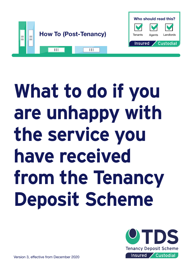

# **What to do if you are unhappy with the service you have received from the Tenancy Deposit Scheme**



**Who should read this?**

Tenants Agents Landlords

Custodia

**Insured** 

Version 3, effective from December 2020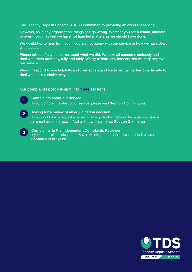The Tenancy Deposit Scheme (TDS) is committed to providing an excellent service.

However, as in any organisation, things can go wrong. Whether you are a tenant, landlord or agent, you may feel we have not handled matters as we should have done.

We would like to hear from you if you are not happy with our service or how we have dealt with a case.

Please tell us of any concerns about what we did. We take all concerns seriously and deal with them promptly, fully and fairly. We try to learn any lessons that will help improve our service.

We will respond to you helpfully and courteously, and we expect all parties to a dispute to deal with us in a similar way.

#### Our complaints policy is split into three sections:



#### **Complaints about our service**

If your complaint relates to our service, please read **Section 1** of this guide.



 **Complaints to the Independent Complaints Reviewer** If your complaint relates to the way in which your complaint was handled, please read **Section 3** of this guide. **3**

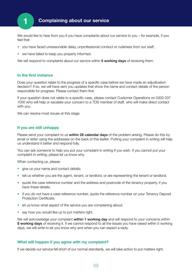

# **1 Complaining about our service**

We would like to hear from you if you have complaints about our service to you – for example, if you feel that:

- you have faced unreasonable delay, unprofessional conduct or rudeness from our staff;
- we have failed to keep you properly informed.

We will respond to complaints about our service within 5 working days of receiving them.

#### **In the first instance**

Does your question relate to the progress of a specific case before we have made an adjudication decision? If so, we will have sent you updates that show the name and contact details of the person responsible for progress. Please contact them first.

If your question does not relate to a specific case, please contact Customer Operations on 0300 037 1000 who will help or escalate your concern to a TDS member of staff, who will make direct contact with you.

We can resolve most issues at this stage.

#### **If you are still unhappy**

Please send your complaint to us **within 28 calendar days** of the problem arising. Please do this by email or letter using the addresses on the back of this leaflet. Putting your complaint in writing will help us understand it better and respond fully.

You can ask someone to help you put your complaint in writing if you wish. If you cannot put your complaint in writing, please let us know why.

When contacting us, please:

- give us your name and contact details;
- tell us whether you are the agent, tenant, or landlord, or are representing the tenant or landlord;
- quote the case reference number and the address and postcode of the tenancy property, if you have these details;
- if you do not have a case reference number, quote the reference number on your Tenancy Deposit Protection Certificate;
- let us know what aspect of the service you are complaining about;
- say how you would like us to put matters right.

We will acknowledge your complaint within 1 working day and will respond to your concerns within **5 working days** of receiving it. If we cannot respond to all the issues you have raised within 5 working days, we will write to let you know why and when you can expect a reply.

#### **What will happen if you agree with my complaint?**

If we decide our service fell short of our normal standards, we will take action to put matters right.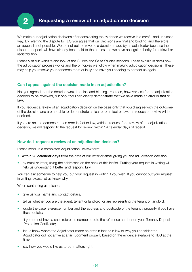

We make our adjudication decisions after considering the evidence we receive in a careful and unbiased way. By referring the dispute to TDS you agree that our decisions are final and binding, and therefore an appeal is not possible. We are not able to reverse a decision made by an adjudicator because the disputed deposit will have already been paid to the parties and we have no legal authority for retrieval or redistribution.

Please visit our website and look at the Guides and Case Studies sections. These explain in detail how the adjudication process works and the principles we follow when making adjudication decisions. These may help you resolve your concerns more quickly and save you needing to contact us again.

# **Can I appeal against the decision made in an adjudication?**

No, you agreed that the decision would be final and binding. You can, however, ask for the adjudication decision to be reviewed, but only if you can clearly demonstrate that we have made an error in fact or law.

If you request a review of an adjudication decision on the basis only that you disagree with the outcome of the decision and are not able to demonstrate a clear error in fact or law, the requested review will be declined.

If you are able to demonstrate an error in fact or law, within a request for a review of an adjudication decision, we will respond to the request for review within 14 calendar days of receipt.

## **How do I request a review of an adjudication decision?**

Please send us a completed Adjudication Review form:

- within 28 calendar days from the date of our letter or email giving you the adjudication decision;
- by email or letter, using the addresses on the back of this leaflet. Putting your request in writing will help us understand it better and respond fully.

You can ask someone to help you put your request in writing if you wish. If you cannot put your request in writing, please let us know why.

When contacting us, please:

- give us your name and contact details;
- tell us whether you are the agent, tenant or landlord, or are representing the tenant or landlord;
- quote the case reference number and the address and postcode of the tenancy property, if you have these details;

if you do not have a case reference number, quote the reference number on your Tenancy Deposit Protection Certificate;

- let us know where the Adjudicator made an error in fact or in law or why you consider the Adjudicator did not arrive at a fair judgment properly based on the evidence available to TDS at the time;
- say how you would like us to put matters right.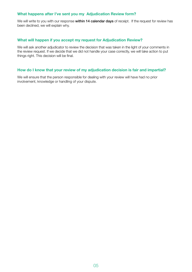## **What happens after I've sent you my Adjudication Review form?**

We will write to you with our response within 14 calendar days of receipt. If the request for review has been declined, we will explain why.

#### **What will happen if you accept my request for Adjudication Review?**

We will ask another adjudicator to review the decision that was taken in the light of your comments in the review request. If we decide that we did not handle your case correctly, we will take action to put things right. This decision will be final.

# **How do I know that your review of my adjudication decision is fair and impartial?**

We will ensure that the person responsible for dealing with your review will have had no prior involvement, knowledge or handling of your dispute.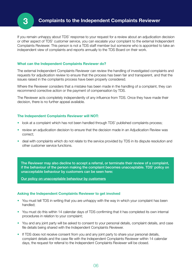

If you remain unhappy about TDS' response to your request for a review about an adjudication decision or other aspect of TDS' customer service, you can escalate your complaint to the external Independent Complaints Reviewer. This person is not a TDS staff member but someone who is appointed to take an independent view of complaints and reports annually to the TDS Board on their work.

#### **What can the Independent Complaints Reviewer do?**

The external Independent Complaints Reviewer can review the handling of investigated complaints and requests for adjudication review to ensure that the process has been fair and transparent, and that the issues raised in the complaints process have been properly considered.

Where the Reviewer considers that a mistake has been made in the handling of a complaint, they can recommend corrective action or the payment of compensation by TDS.

The Reviewer acts completely independently of any influence from TDS. Once they have made their decision, there is no further appeal available.

#### **The Independent Complaints Reviewer will NOT:**

- look at a complaint which has not been handled through TDS' published complaints process;
- review an adjudication decision to ensure that the decision made in an Adjudication Review was correct;
- deal with complaints which do not relate to the service provided by TDS in its dispute resolution and other customer service functions.

The Reviewer may also decline to accept a referral, or terminate their review of a complaint, if the behaviour of the person making the complaint becomes unacceptable. TDS' policy on unacceptable behaviour by customers can be seen here:

[Our policy on unacceptable behaviour by customers](https://www.tenancydepositscheme.com/resources/files/Our%20policy%20on%20unacceptable%20behaviour%20by%20customers.pdf)

#### **Asking the Independent Complaints Reviewer to get involved**

- You must tell TDS in writing that you are unhappy with the way in which your complaint has been handled;
- You must do this within 14 calendar days of TDS confirming that it has completed its own internal procedures in relation to your complaint;
- You and any joint party will be asked to consent to your personal details, complaint details, and case file details being shared with the Independent Complaints Reviewer.
- If TDS does not receive consent from you and any joint party to share your personal details, complaint details and the case file with the Independent Complaints Reviewer within 14 calendar days, the request for referral to the Independent Complaints Reviewer will be closed.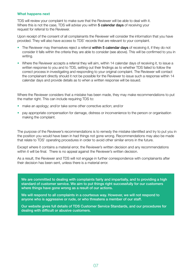#### **What happens next**

TDS will review your complaint to make sure that the Reviewer will be able to deal with it. Where this is not the case, TDS will advise you within 5 calendar days of receiving your request for referral to the Reviewer.

Upon receipt of the consent of all complainants the Reviewer will consider the information that you have provided. They will also have access to TDS' records that are relevant to your complaint.

- The Reviewer may themselves reject a referral within 5 calendar days of receiving it, if they do not consider it falls within the criteria they are able to consider (see above). This will be confirmed to you in writing.
- Where the Reviewer accepts a referral they will aim, within 14 calendar days of receiving it, to issue a written response to you and to TDS, setting out their findings as to whether TDS failed to follow the correct process in investigating and responding to your original complaint. The Reviewer will contact the complainant directly should it not be possible for the Reviewer to issue such a response within 14 calendar days and provide details as to when a written response will be issued.

Where the Reviewer considers that a mistake has been made, they may make recommendations to put the matter right. This can include requiring TDS to:

- make an apology; and/or take some other corrective action; and/or
- pay appropriate compensation for damage, distress or inconvenience to the person or organisation making the complaint.

The purpose of the Reviewer's recommendations is to remedy the mistake identified and try to put you in the position you would have been in had things not gone wrong. Recommendations may also be made that relate to TDS' operating procedures in order to avoid other similar errors in the future.

Except where it contains a material error, the Reviewer's written decision and any recommendations within it will be final. There is no appeal against the Reviewer's written decision.

As a result, the Reviewer and TDS will not engage in further correspondence with complainants after their decision has been sent, unless there is a material error.

We are committed to dealing with complaints fairly and impartially, and to providing a high standard of customer service. We aim to put things right successfully for our customers where things have gone wrong as a result of our actions.

We will respond to all complaints in a courteous way. However, we will not respond to anyone who is aggressive or rude, or who threatens a member of our staff.

Our website gives full details of TDS Customer Service Standards, and our procedures for dealing with difficult or abusive customers.